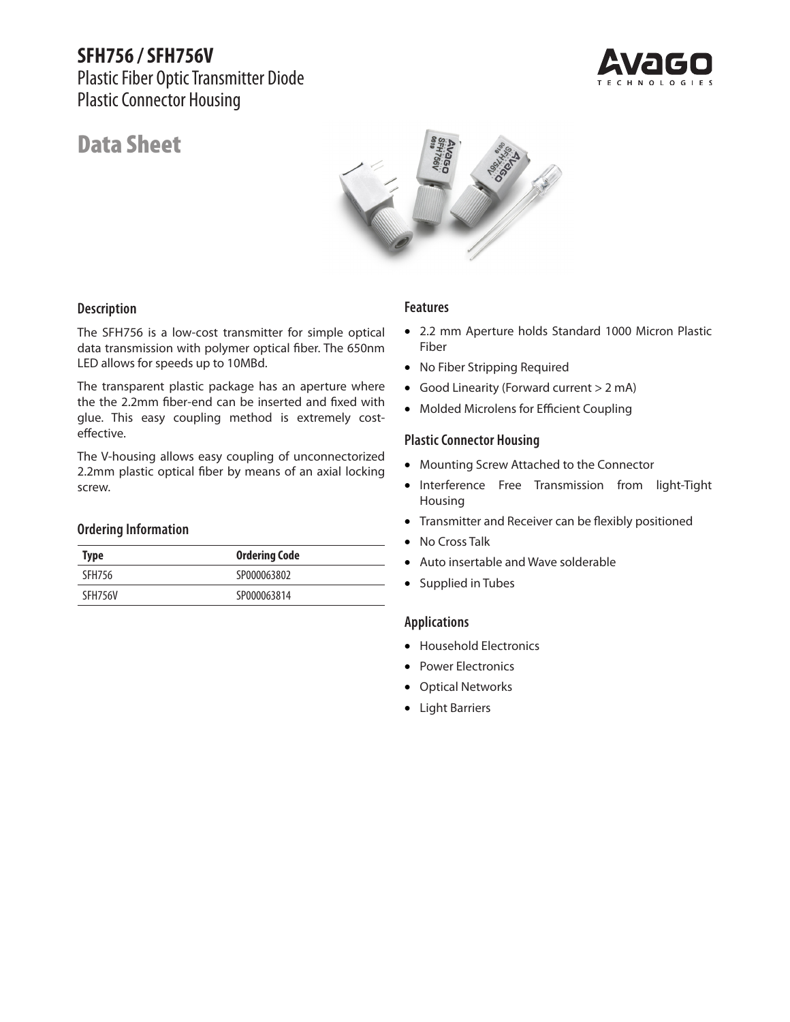## **SFH756 / SFH756V**

Plastic Fiber Optic Transmitter Diode Plastic Connector Housing



# Data Sheet



#### **Description**

The SFH756 is a low-cost transmitter for simple optical data transmission with polymer optical fiber. The 650nm LED allows for speeds up to 10MBd.

The transparent plastic package has an aperture where the the 2.2mm fiber-end can be inserted and fixed with glue. This easy coupling method is extremely costeffective.

The V-housing allows easy coupling of unconnectorized 2.2mm plastic optical fiber by means of an axial locking screw.

#### **Ordering Information**

| <b>Type</b> | <b>Ordering Code</b> |
|-------------|----------------------|
| SFH756      | SP000063802          |
| SFH756V     | SP000063814          |

#### **Features**

- 2.2 mm Aperture holds Standard 1000 Micron Plastic Fiber
- No Fiber Stripping Required
- Good Linearity (Forward current > 2 mA)
- Molded Microlens for Efficient Coupling

#### **Plastic Connector Housing**

- Mounting Screw Attached to the Connector
- Interference Free Transmission from light-Tight Housing
- Transmitter and Receiver can be flexibly positioned
- No Cross Talk
- Auto insertable and Wave solderable
- Supplied in Tubes

#### **Applications**

- Household Electronics
- Power Electronics
- Optical Networks
- Light Barriers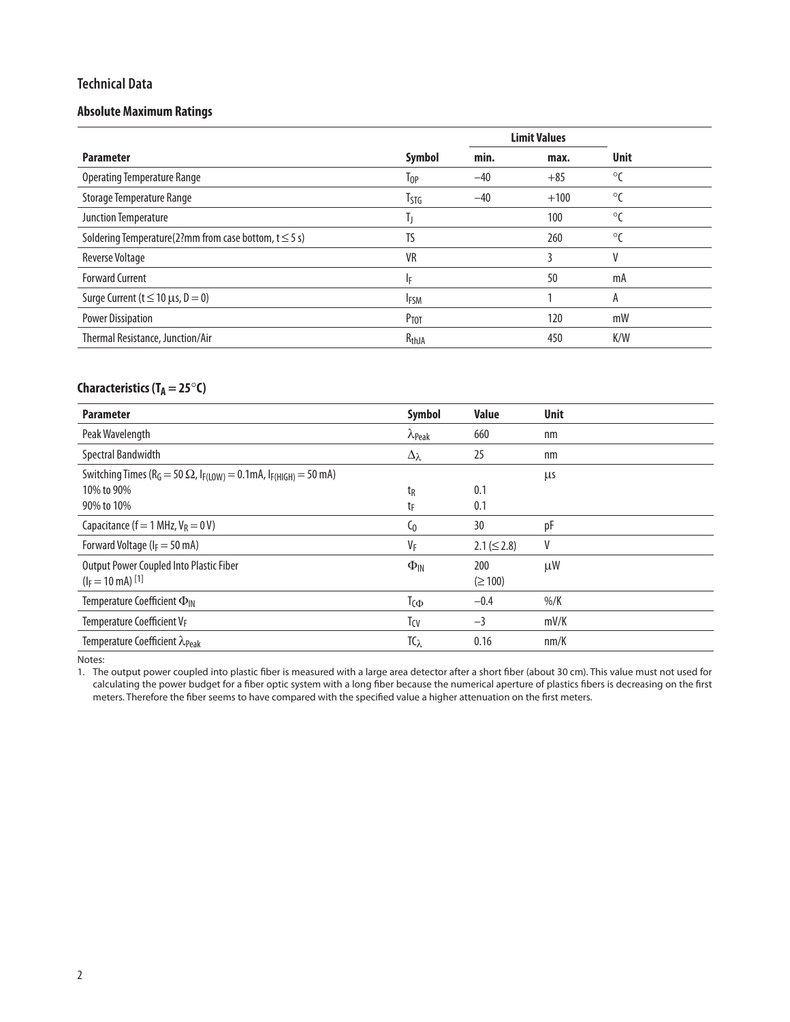#### **Technical Data**

#### **Absolute Maximum Ratings**

|                                                           |                   |       | <b>Limit Values</b> |              |
|-----------------------------------------------------------|-------------------|-------|---------------------|--------------|
| <b>Parameter</b>                                          | Symbol            | min.  | max.                | <b>Unit</b>  |
| <b>Operating Temperature Range</b>                        | Top               | $-40$ | $+85$               | $\circ$      |
| Storage Temperature Range                                 | Tstg              | $-40$ | $+100$              | $^{\circ}$ C |
| Junction Temperature                                      | I)                |       | 100                 | $\circ$      |
| Soldering Temperature(2?mm from case bottom, $t \le 5$ s) | TS                |       | 260                 | $^{\circ}$ C |
| <b>Reverse Voltage</b>                                    | <b>VR</b>         |       | 3                   | V            |
| <b>Forward Current</b>                                    | ΙF                |       | 50                  | mA           |
| Surge Current ( $t \le 10 \mu s$ , $D = 0$ )              | <b>IFSM</b>       |       |                     | Α            |
| <b>Power Dissipation</b>                                  | Ртот              |       | 120                 | mW           |
| Thermal Resistance, Junction/Air                          | R <sub>thJA</sub> |       | 450                 | K/W          |

## **Characteristics (T<sub>A</sub> = 25°C)**

| <b>Parameter</b>                                                                                                                       | <b>Symbol</b>           | <b>Value</b>        | <b>Unit</b> |
|----------------------------------------------------------------------------------------------------------------------------------------|-------------------------|---------------------|-------------|
| Peak Wavelength                                                                                                                        | $\lambda_{\text{Peak}}$ | 660                 | nm          |
| Spectral Bandwidth                                                                                                                     | $\Delta_{\lambda}$      | 25                  | nm          |
| Switching Times (R <sub>G</sub> = 50 $\Omega$ , I <sub>F(LOW)</sub> = 0.1mA, I <sub>F(HIGH)</sub> = 50 mA)<br>10% to 90%<br>90% to 10% | tg<br>tF                | 0.1<br>0.1          | μs          |
| Capacitance ( $f = 1$ MHz, $V_R = 0$ V)                                                                                                | $\mathsf{C}_0$          | 30                  | pF          |
| Forward Voltage ( $I_F = 50$ mA)                                                                                                       | $V_F$                   | $2.1 (\leq 2.8)$    | ۷           |
| Output Power Coupled Into Plastic Fiber<br>$(I_F = 10$ mA) <sup>[1]</sup>                                                              | $\Phi_{\text{IN}}$      | 200<br>$(\geq 100)$ | $\mu$ W     |
| Temperature Coefficient $\Phi_{\text{IN}}$                                                                                             | T <sub>C</sub>          | $-0.4$              | $%$ /K      |
| Temperature Coefficient VF                                                                                                             | T <sub>CV</sub>         | $-3$                | mV/K        |
| Temperature Coefficient $\lambda_{\text{Peak}}$                                                                                        | $TC_{\lambda}$          | 0.16                | nm/K        |

Notes:

1. The output power coupled into plastic fiber is measured with a large area detector after a short fiber (about 30 cm). This value must not used for calculating the power budget for a fiber optic system with a long fiber because the numerical aperture of plastics fibers is decreasing on the first meters. Therefore the fiber seems to have compared with the specified value a higher attenuation on the first meters.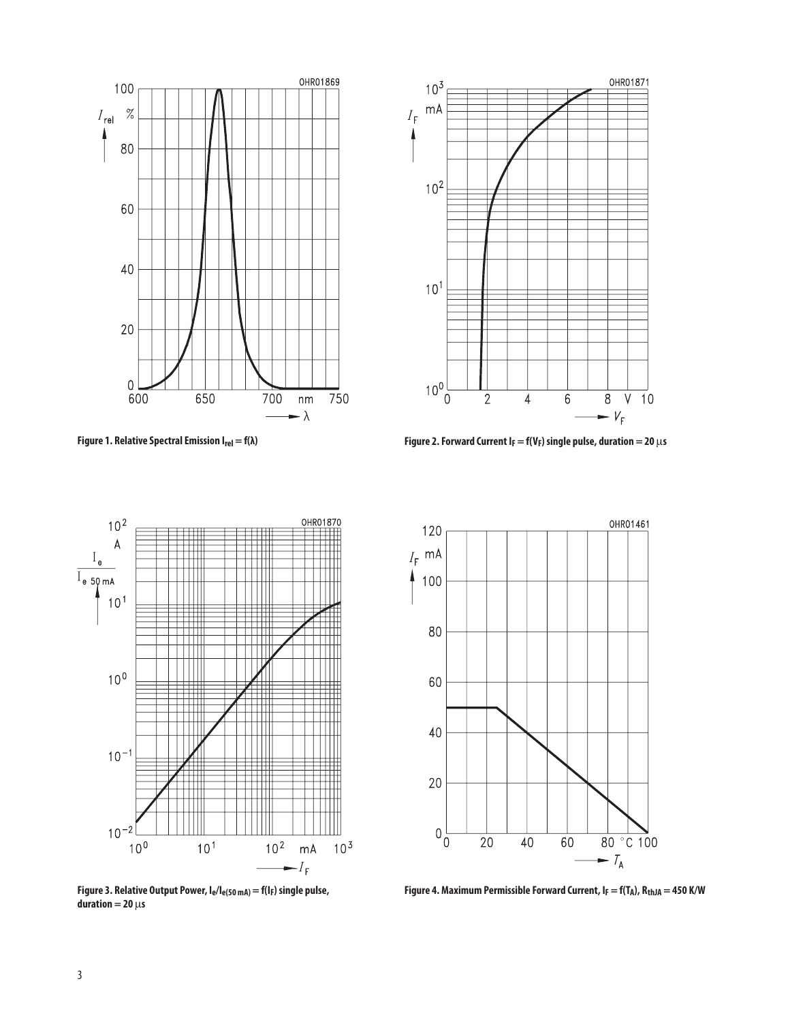



**Figure 1. Relative Spectral Emission Irel = f(λ) Figure 2. Forward Current IF = f(VF) single pulse, duration = 20** μ**s**



**Figure 3. Relative Output Power, Ie/Ie(50 mA) = f(IF) single pulse,**   $duration = 20 \mu s$ 



Figure 4. Maximum Permissible Forward Current,  $I_F = f(T_A)$ ,  $R_{thJA} = 450$  K/W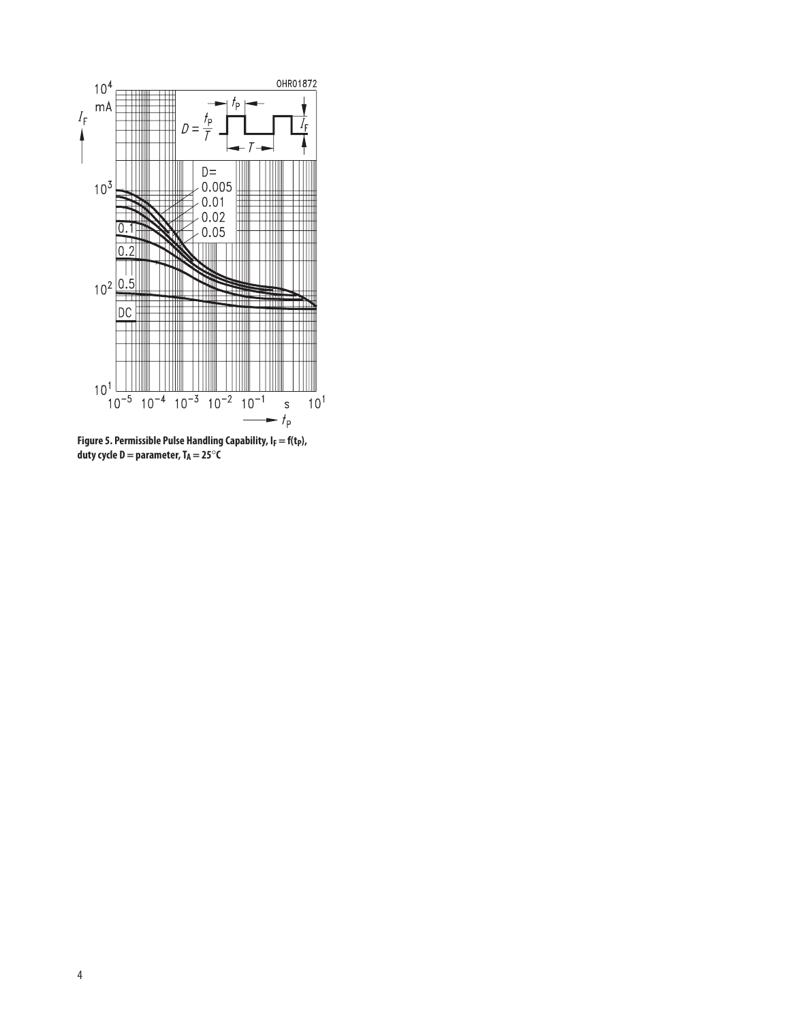

Figure 5. Permissible Pulse Handling Capability, I<sub>F</sub> = f(t<sub>P</sub>), duty cycle  $D =$  parameter,  $T_A = 25^\circ \text{C}$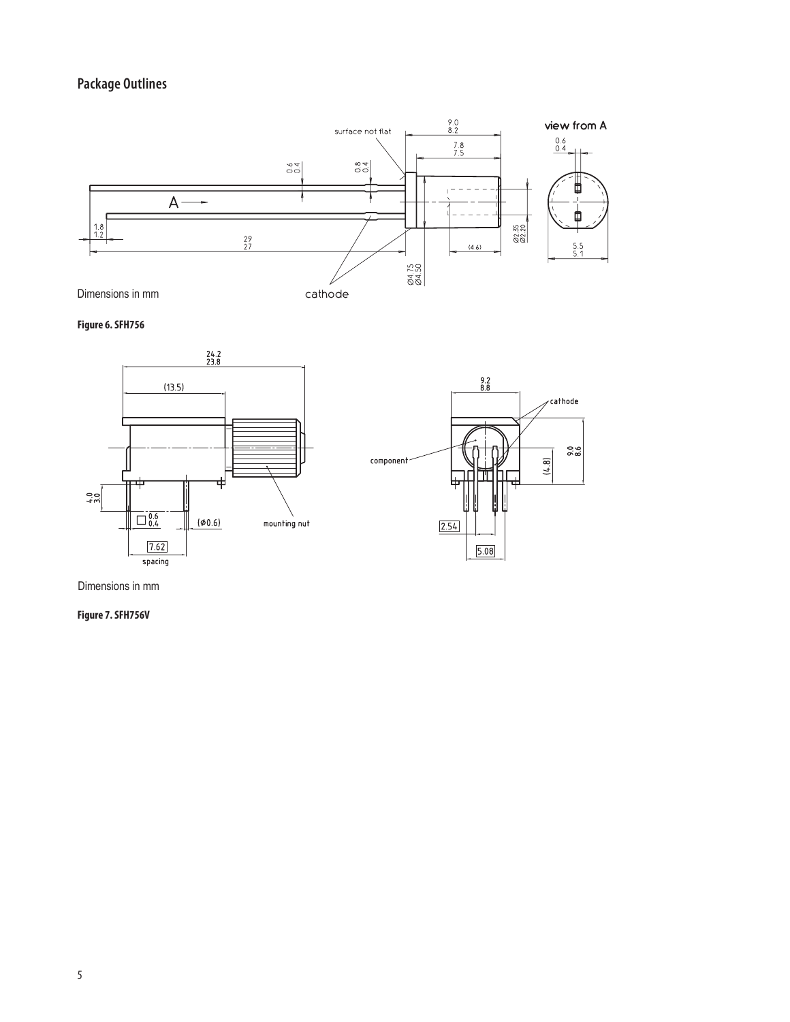## **Package Outlines**



**Figure 6. SFH756**



Dimensions in mm

**Figure 7. SFH756V**